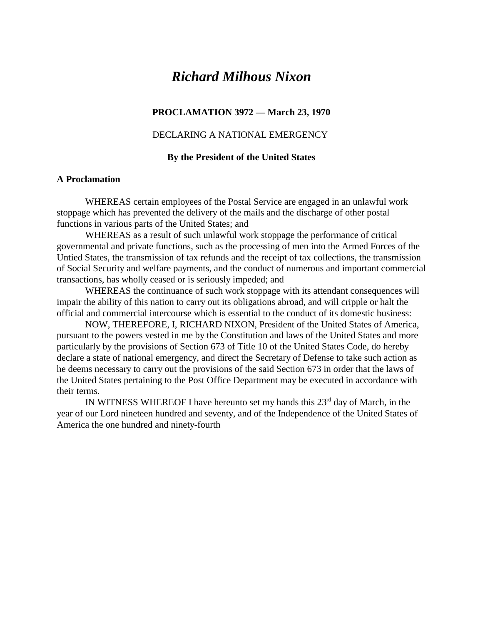# *Richard Milhous Nixon*

## **PROCLAMATION 3972 — March 23, 1970**

# DECLARING A NATIONAL EMERGENCY

#### **By the President of the United States**

#### **A Proclamation**

WHEREAS certain employees of the Postal Service are engaged in an unlawful work stoppage which has prevented the delivery of the mails and the discharge of other postal functions in various parts of the United States; and

WHEREAS as a result of such unlawful work stoppage the performance of critical governmental and private functions, such as the processing of men into the Armed Forces of the Untied States, the transmission of tax refunds and the receipt of tax collections, the transmission of Social Security and welfare payments, and the conduct of numerous and important commercial transactions, has wholly ceased or is seriously impeded; and

WHEREAS the continuance of such work stoppage with its attendant consequences will impair the ability of this nation to carry out its obligations abroad, and will cripple or halt the official and commercial intercourse which is essential to the conduct of its domestic business:

NOW, THEREFORE, I, RICHARD NIXON, President of the United States of America, pursuant to the powers vested in me by the Constitution and laws of the United States and more particularly by the provisions of Section 673 of Title 10 of the United States Code, do hereby declare a state of national emergency, and direct the Secretary of Defense to take such action as he deems necessary to carry out the provisions of the said Section 673 in order that the laws of the United States pertaining to the Post Office Department may be executed in accordance with their terms.

IN WITNESS WHEREOF I have hereunto set my hands this  $23<sup>rd</sup>$  day of March, in the year of our Lord nineteen hundred and seventy, and of the Independence of the United States of America the one hundred and ninety-fourth